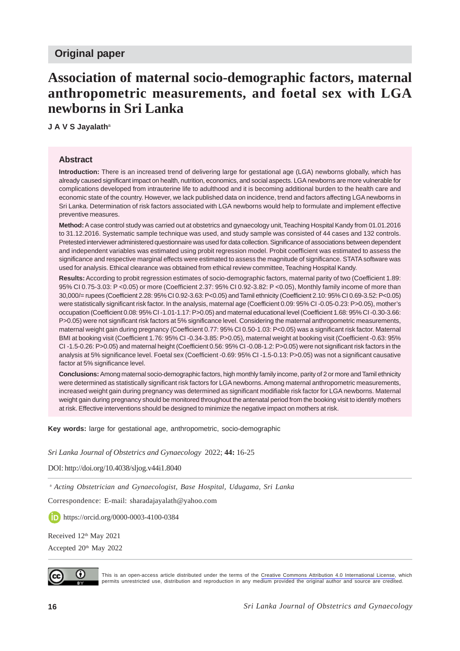# **Association of maternal socio-demographic factors, maternal anthropometric measurements, and foetal sex with LGA newborns in Sri Lanka**

**J A V S Jayalath**<sup>a</sup>

#### **Abstract**

**Introduction:** There is an increased trend of delivering large for gestational age (LGA) newborns globally, which has already caused significant impact on health, nutrition, economics, and social aspects. LGA newborns are more vulnerable for complications developed from intrauterine life to adulthood and it is becoming additional burden to the health care and economic state of the country. However, we lack published data on incidence, trend and factors affecting LGA newborns in Sri Lanka. Determination of risk factors associated with LGA newborns would help to formulate and implement effective preventive measures.

**Method:** A case control study was carried out at obstetrics and gynaecology unit, Teaching Hospital Kandy from 01.01.2016 to 31.12.2016. Systematic sample technique was used, and study sample was consisted of 44 cases and 132 controls. Pretested interviewer administered questionnaire was used for data collection. Significance of associations between dependent and independent variables was estimated using probit regression model. Probit coefficient was estimated to assess the significance and respective marginal effects were estimated to assess the magnitude of significance. STATA software was used for analysis. Ethical clearance was obtained from ethical review committee, Teaching Hospital Kandy.

**Results:** According to probit regression estimates of socio-demographic factors, maternal parity of two (Coefficient 1.89: 95% CI 0.75-3.03: P <0.05) or more (Coefficient 2.37: 95% CI 0.92-3.82: P <0.05), Monthly family income of more than 30,000/= rupees (Coefficient 2.28: 95% CI 0.92-3.63: P<0.05) and Tamil ethnicity (Coefficient 2.10: 95% CI 0.69-3.52: P<0.05) were statistically significant risk factor. In the analysis, maternal age (Coefficient 0.09: 95% CI -0.05-0.23: P>0.05), mother's occupation (Coefficient 0.08: 95% CI -1.01-1.17: P>0.05) and maternal educational level (Coefficient 1.68: 95% CI -0.30-3.66: P>0.05) were not significant risk factors at 5% significance level. Considering the maternal anthropometric measurements, maternal weight gain during pregnancy (Coefficient 0.77: 95% CI 0.50-1.03: P<0.05) was a significant risk factor. Maternal BMI at booking visit (Coefficient 1.76: 95% CI -0.34-3.85: P>0.05), maternal weight at booking visit (Coefficient -0.63: 95% CI -1.5-0.26: P>0.05) and maternal height (Coefficient 0.56: 95% CI -0.08-1.2: P>0.05) were not significant risk factors in the analysis at 5% significance level. Foetal sex (Coefficient -0.69: 95% CI -1.5-0.13: P>0.05) was not a significant causative factor at 5% significance level.

**Conclusions:** Among maternal socio-demographic factors, high monthly family income, parity of 2 or more and Tamil ethnicity were determined as statistically significant risk factors for LGA newborns. Among maternal anthropometric measurements, increased weight gain during pregnancy was determined as significant modifiable risk factor for LGA newborns. Maternal weight gain during pregnancy should be monitored throughout the antenatal period from the booking visit to identify mothers at risk. Effective interventions should be designed to minimize the negative impact on mothers at risk.

**Key words:** large for gestational age, anthropometric, socio-demographic

*Sri Lanka Journal of Obstetrics and Gynaecology* 2022; **44:** 16-25

DOI: http://doi.org/10.4038/sljog.v44i1.8040

<sup>a</sup> *Acting Obstetrician and Gynaecologist, Base Hospital, Udugama, Sri Lanka*

Correspondence: E-mail: sharadajayalath@yahoo.com

https://orcid.org/0000-0003-4100-0384

Received 12<sup>th</sup> May 2021

Accepted 20<sup>th</sup> May 2022



This is an open-access article distributed under the terms of the [Creative Commons Attribution 4.0 International License,](https://creativecommons.org/licenses/by/4.0/) which permits unrestricted use, distribution and reproduction in any medium provided the original author and source are credited.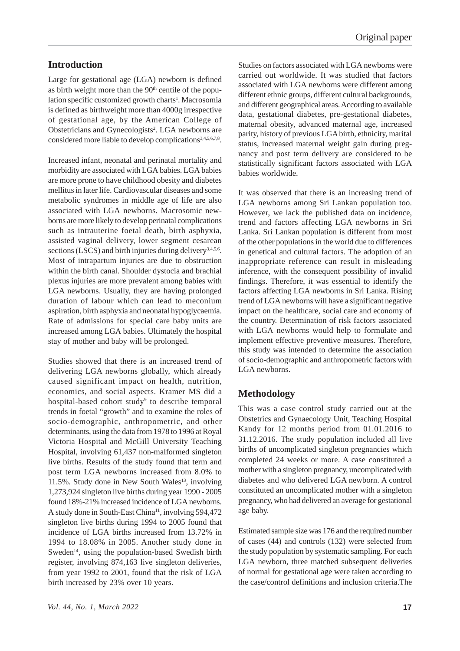## **Introduction**

Large for gestational age (LGA) newborn is defined as birth weight more than the  $90<sup>th</sup>$  centile of the population specific customized growth charts<sup>1</sup>. Macrosomia is defined as birthweight more than 4000g irrespective of gestational age, by the American College of Obstetricians and Gynecologists<sup>2</sup>. LGA newborns are considered more liable to develop complications<sup>3,4,5,6,7,8</sup>.

Increased infant, neonatal and perinatal mortality and morbidity are associated with LGA babies. LGA babies are more prone to have childhood obesity and diabetes mellitus in later life. Cardiovascular diseases and some metabolic syndromes in middle age of life are also associated with LGA newborns. Macrosomic newborns are more likely to develop perinatal complications such as intrauterine foetal death, birth asphyxia, assisted vaginal delivery, lower segment cesarean sections (LSCS) and birth injuries during delivery<sup>3,4,5,6</sup>. Most of intrapartum injuries are due to obstruction within the birth canal. Shoulder dystocia and brachial plexus injuries are more prevalent among babies with LGA newborns. Usually, they are having prolonged duration of labour which can lead to meconium aspiration, birth asphyxia and neonatal hypoglycaemia. Rate of admissions for special care baby units are increased among LGA babies. Ultimately the hospital stay of mother and baby will be prolonged.

Studies showed that there is an increased trend of delivering LGA newborns globally, which already caused significant impact on health, nutrition, economics, and social aspects. Kramer MS did a hospital-based cohort study<sup>9</sup> to describe temporal trends in foetal "growth" and to examine the roles of socio-demographic, anthropometric, and other determinants, using the data from 1978 to 1996 at Royal Victoria Hospital and McGill University Teaching Hospital, involving 61,437 non-malformed singleton live births. Results of the study found that term and post term LGA newborns increased from 8.0% to 11.5%. Study done in New South Wales $^{13}$ , involving 1,273,924 singleton live births during year 1990 - 2005 found 18%-21% increased incidence of LGA newborns. A study done in South-East China<sup>11</sup>, involving 594,472 singleton live births during 1994 to 2005 found that incidence of LGA births increased from 13.72% in 1994 to 18.08% in 2005. Another study done in Sweden<sup>14</sup>, using the population-based Swedish birth register, involving 874,163 live singleton deliveries, from year 1992 to 2001, found that the risk of LGA birth increased by 23% over 10 years.

Studies on factors associated with LGA newborns were carried out worldwide. It was studied that factors associated with LGA newborns were different among different ethnic groups, different cultural backgrounds, and different geographical areas. According to available data, gestational diabetes, pre-gestational diabetes, maternal obesity, advanced maternal age, increased parity, history of previous LGA birth, ethnicity, marital status, increased maternal weight gain during pregnancy and post term delivery are considered to be statistically significant factors associated with LGA babies worldwide.

It was observed that there is an increasing trend of LGA newborns among Sri Lankan population too. However, we lack the published data on incidence, trend and factors affecting LGA newborns in Sri Lanka. Sri Lankan population is different from most of the other populations in the world due to differences in genetical and cultural factors. The adoption of an inappropriate reference can result in misleading inference, with the consequent possibility of invalid findings. Therefore, it was essential to identify the factors affecting LGA newborns in Sri Lanka. Rising trend of LGA newborns will have a significant negative impact on the healthcare, social care and economy of the country. Determination of risk factors associated with LGA newborns would help to formulate and implement effective preventive measures. Therefore, this study was intended to determine the association of socio-demographic and anthropometric factors with LGA newborns.

### **Methodology**

This was a case control study carried out at the Obstetrics and Gynaecology Unit, Teaching Hospital Kandy for 12 months period from 01.01.2016 to 31.12.2016. The study population included all live births of uncomplicated singleton pregnancies which completed 24 weeks or more. A case constituted a mother with a singleton pregnancy, uncomplicated with diabetes and who delivered LGA newborn. A control constituted an uncomplicated mother with a singleton pregnancy, who had delivered an average for gestational age baby.

Estimated sample size was 176 and the required number of cases (44) and controls (132) were selected from the study population by systematic sampling. For each LGA newborn, three matched subsequent deliveries of normal for gestational age were taken according to the case/control definitions and inclusion criteria.The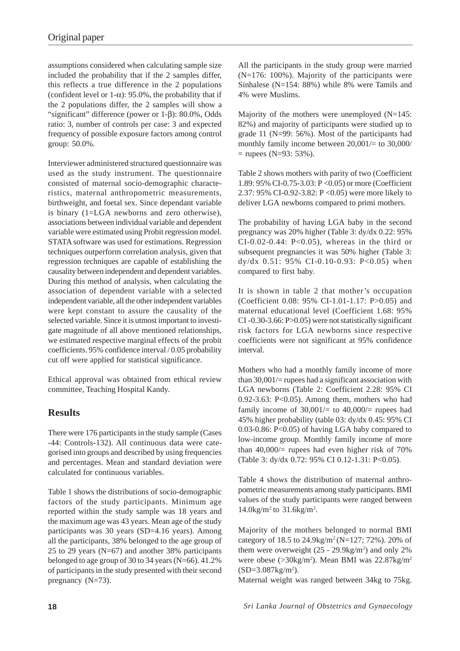assumptions considered when calculating sample size included the probability that if the 2 samples differ, this reflects a true difference in the 2 populations (confident level or  $1-\alpha$ ): 95.0%, the probability that if the 2 populations differ, the 2 samples will show a "significant" difference (power or 1-β): 80.0%, Odds ratio: 3, number of controls per case: 3 and expected frequency of possible exposure factors among control group: 50.0%.

Interviewer administered structured questionnaire was used as the study instrument. The questionnaire consisted of maternal socio-demographic characteristics, maternal anthropometric measurements, birthweight, and foetal sex. Since dependant variable is binary (1=LGA newborns and zero otherwise), associations between individual variable and dependent variable were estimated using Probit regression model. STATA software was used for estimations. Regression techniques outperform correlation analysis, given that regression techniques are capable of establishing the causality between independent and dependent variables. During this method of analysis, when calculating the association of dependent variable with a selected independent variable, all the other independent variables were kept constant to assure the causality of the selected variable. Since it is utmost important to investigate magnitude of all above mentioned relationships, we estimated respective marginal effects of the probit coefficients. 95% confidence interval / 0.05 probability cut off were applied for statistical significance.

Ethical approval was obtained from ethical review committee, Teaching Hospital Kandy.

## **Results**

There were 176 participants in the study sample (Cases -44: Controls-132). All continuous data were categorised into groups and described by using frequencies and percentages. Mean and standard deviation were calculated for continuous variables.

Table 1 shows the distributions of socio-demographic factors of the study participants. Minimum age reported within the study sample was 18 years and the maximum age was 43 years. Mean age of the study participants was 30 years (SD=4.16 years). Among all the participants, 38% belonged to the age group of 25 to 29 years (N=67) and another 38% participants belonged to age group of 30 to 34 years (N=66). 41.2% of participants in the study presented with their second pregnancy (N=73).

All the participants in the study group were married (N=176: 100%). Majority of the participants were Sinhalese (N=154: 88%) while 8% were Tamils and 4% were Muslims.

Majority of the mothers were unemployed (N=145: 82%) and majority of participants were studied up to grade 11 (N=99: 56%). Most of the participants had monthly family income between  $20,001/=$  to  $30,000/$  $=$  rupees (N=93: 53%).

Table 2 shows mothers with parity of two (Coefficient 1.89: 95% CI-0.75-3.03: P <0.05) or more (Coefficient 2.37: 95% CI-0.92-3.82: P <0.05) were more likely to deliver LGA newborns compared to primi mothers.

The probability of having LGA baby in the second pregnancy was 20% higher (Table 3: dy/dx 0.22: 95%  $CI-0.02-0.44$ :  $P<0.05$ ), whereas in the third or subsequent pregnancies it was 50% higher (Table 3: dy/dx  $0.51: 95\%$  CI-0.10-0.93: P<0.05) when compared to first baby.

It is shown in table 2 that mother's occupation (Coefficient 0.08: 95% CI-1.01-1.17: P>0.05) and maternal educational level (Coefficient 1.68: 95% CI -0.30-3.66: P>0.05) were not statistically significant risk factors for LGA newborns since respective coefficients were not significant at 95% confidence interval.

Mothers who had a monthly family income of more than  $30,001/$ = rupees had a significant association with LGA newborns (Table 2: Coefficient 2.28: 95% CI 0.92-3.63: P<0.05). Among them, mothers who had family income of  $30,001/=$  to  $40,000/=$  rupees had 45% higher probability (table 03: dy/dx 0.45: 95% CI 0.03-0.86: P<0.05) of having LGA baby compared to low-income group. Monthly family income of more than  $40,000/$ = rupees had even higher risk of 70% (Table 3: dy/dx 0.72: 95% CI 0.12-1.31: P<0.05).

Table 4 shows the distribution of maternal anthropometric measurements among study participants. BMI values of the study participants were ranged between  $14.0$ kg/m<sup>2</sup> to  $31.6$ kg/m<sup>2</sup>.

Majority of the mothers belonged to normal BMI category of 18.5 to  $24.9 \text{kg/m}^2$  (N=127; 72%). 20% of them were overweight  $(25 - 29.9 \text{kg/m}^2)$  and only 2% were obese (>30kg/m<sup>2</sup>). Mean BMI was 22.87kg/m<sup>2</sup>  $(SD=3.087kg/m<sup>2</sup>)$ .

Maternal weight was ranged between 34kg to 75kg.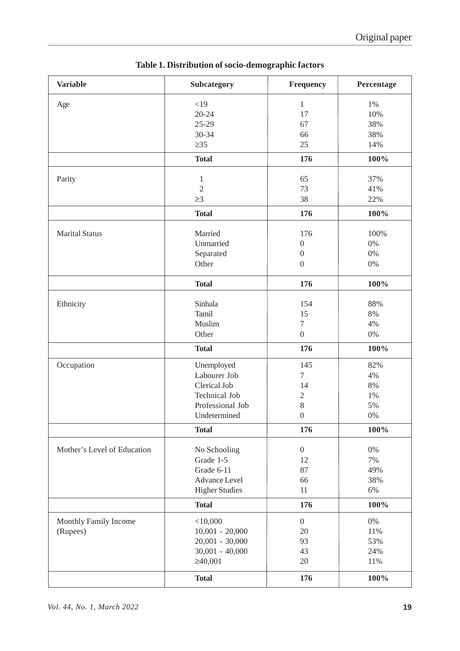| <b>Variable</b>             | Subcategory                    | Frequency        | Percentage |
|-----------------------------|--------------------------------|------------------|------------|
| Age                         | <19                            | $\mathbf{1}$     | 1%         |
|                             | $20 - 24$                      | 17               | 10%        |
|                             | $25-29$                        | 67               | 38%        |
|                             | 30-34                          | 66               | 38%        |
|                             | $\geq 35$                      | 25               | 14%        |
|                             | <b>Total</b>                   | 176              | 100%       |
|                             |                                | 65               | 37%        |
| Parity                      | $\mathbf{1}$<br>$\overline{2}$ | 73               | 41%        |
|                             | $\geq$ 3                       | 38               |            |
|                             |                                |                  | 22%        |
|                             | <b>Total</b>                   | 176              | 100%       |
| <b>Marital Status</b>       | Married                        | 176              | 100%       |
|                             | Unmarried                      | $\boldsymbol{0}$ | 0%         |
|                             | Separated                      | $\boldsymbol{0}$ | 0%         |
|                             | Other                          | $\boldsymbol{0}$ | $0\%$      |
|                             | <b>Total</b>                   | 176              | 100%       |
| Ethnicity                   | Sinhala                        | 154              | 88%        |
|                             | Tamil                          | 15               | 8%         |
|                             | Muslim                         | $\tau$           | 4%         |
|                             |                                |                  |            |
|                             | Other                          | $\boldsymbol{0}$ | $0\%$      |
|                             | <b>Total</b>                   | 176              | 100%       |
| Occupation                  | Unemployed                     | 145              | 82%        |
|                             | Labourer Job                   | $\overline{7}$   | 4%         |
|                             | Clerical Job                   | 14               | 8%         |
|                             | <b>Technical Job</b>           | $\mathbf{2}$     | 1%         |
|                             | Professional Job               | 8                | 5%         |
|                             | Undetermined                   | $\boldsymbol{0}$ | 0%         |
|                             | <b>Total</b>                   | 176              | 100%       |
| Mother's Level of Education | No Schooling                   | $\boldsymbol{0}$ | 0%         |
|                             | Grade 1-5                      | 12               | 7%         |
|                             | Grade 6-11                     | 87               | 49%        |
|                             | Advance Level                  | 66               | 38%        |
|                             | <b>Higher Studies</b>          | 11               | 6%         |
|                             | <b>Total</b>                   | 176              | 100%       |
| Monthly Family Income       | $<$ 10,000                     | $\overline{0}$   | 0%         |
| (Rupees)                    | $10,001 - 20,000$              | 20               | 11%        |
|                             | $20,001 - 30,000$              | 93               | 53%        |
|                             | $30,001 - 40,000$              | 43               | 24%        |
|                             | $\geq 40,001$                  | 20               | 11%        |
|                             | <b>Total</b>                   | 176              | 100%       |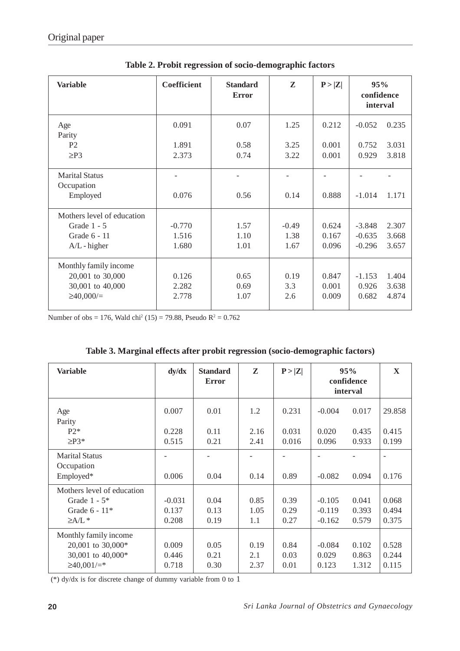| <b>Variable</b>                     | Coefficient | <b>Standard</b><br><b>Error</b> | ${\bf z}$ | P >  Z | 95%<br>confidence<br>interval |       |
|-------------------------------------|-------------|---------------------------------|-----------|--------|-------------------------------|-------|
| Age<br>Parity                       | 0.091       | 0.07                            | 1.25      | 0.212  | $-0.052$                      | 0.235 |
| P <sub>2</sub>                      | 1.891       | 0.58                            | 3.25      | 0.001  | 0.752                         | 3.031 |
| $\geq P3$                           | 2.373       | 0.74                            | 3.22      | 0.001  | 0.929                         | 3.818 |
| <b>Marital Status</b><br>Occupation |             |                                 |           |        |                               |       |
| Employed                            | 0.076       | 0.56                            | 0.14      | 0.888  | $-1.014$                      | 1.171 |
| Mothers level of education          |             |                                 |           |        |                               |       |
| Grade $1 - 5$                       | $-0.770$    | 1.57                            | $-0.49$   | 0.624  | $-3.848$                      | 2.307 |
| Grade 6 - 11                        | 1.516       | 1.10                            | 1.38      | 0.167  | $-0.635$                      | 3.668 |
| $A/L$ - higher                      | 1.680       | 1.01                            | 1.67      | 0.096  | $-0.296$                      | 3.657 |
| Monthly family income               |             |                                 |           |        |                               |       |
| 20,001 to 30,000                    | 0.126       | 0.65                            | 0.19      | 0.847  | $-1.153$                      | 1.404 |
| 30,001 to 40,000                    | 2.282       | 0.69                            | 3.3       | 0.001  | 0.926                         | 3.638 |
| $\geq 40,000/$                      | 2.778       | 1.07                            | 2.6       | 0.009  | 0.682                         | 4.874 |

**Table 2. Probit regression of socio-demographic factors**

Number of obs = 176, Wald chi<sup>2</sup> (15) = 79.88, Pseudo  $R^2 = 0.762$ 

| <b>Variable</b>                                                                           | dy/dx                      | <b>Standard</b><br><b>Error</b> | Z                   | P >  Z               |                                  | 95%<br>confidence<br>interval | X                       |
|-------------------------------------------------------------------------------------------|----------------------------|---------------------------------|---------------------|----------------------|----------------------------------|-------------------------------|-------------------------|
| Age<br>Parity                                                                             | 0.007                      | 0.01                            | 1.2                 | 0.231                | $-0.004$                         | 0.017                         | 29.858                  |
| $P2*$<br>$\geq$ P3*                                                                       | 0.228<br>0.515             | 0.11<br>0.21                    | 2.16<br>2.41        | 0.031<br>0.016       | 0.020<br>0.096                   | 0.435<br>0.933                | 0.415<br>0.199          |
| <b>Marital Status</b><br>Occupation<br>Employed*                                          | 0.006                      | 0.04                            | 0.14                | 0.89                 | $-0.082$                         | 0.094                         | 0.176                   |
| Mothers level of education<br>Grade $1 - 5*$<br>Grade $6 - 11*$<br>$\geq$ A/L $*$         | $-0.031$<br>0.137<br>0.208 | 0.04<br>0.13<br>0.19            | 0.85<br>1.05<br>1.1 | 0.39<br>0.29<br>0.27 | $-0.105$<br>$-0.119$<br>$-0.162$ | 0.041<br>0.393<br>0.579       | 0.068<br>0.494<br>0.375 |
| Monthly family income<br>20,001 to 30,000*<br>30,001 to 40,000*<br>$\geq 40,001/\equiv^*$ | 0.009<br>0.446<br>0.718    | 0.05<br>0.21<br>0.30            | 0.19<br>2.1<br>2.37 | 0.84<br>0.03<br>0.01 | $-0.084$<br>0.029<br>0.123       | 0.102<br>0.863<br>1.312       | 0.528<br>0.244<br>0.115 |

| Table 3. Marginal effects after probit regression (socio-demographic factors) |  |  |  |
|-------------------------------------------------------------------------------|--|--|--|
|                                                                               |  |  |  |
|                                                                               |  |  |  |

(\*) dy/dx is for discrete change of dummy variable from 0 to 1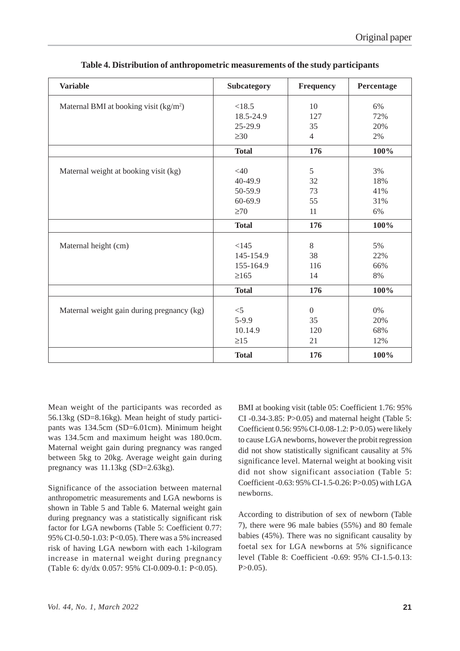| <b>Variable</b>                                    | <b>Subcategory</b> | <b>Frequency</b> | Percentage |
|----------------------------------------------------|--------------------|------------------|------------|
| Maternal BMI at booking visit (kg/m <sup>2</sup> ) | < 18.5             | 10               | 6%         |
|                                                    | 18.5-24.9          | 127              | 72%        |
|                                                    | 25-29.9            | 35               | 20%        |
|                                                    | $\geq 30$          | $\overline{4}$   | 2%         |
|                                                    | <b>Total</b>       | 176              | 100%       |
|                                                    |                    |                  |            |
| Maternal weight at booking visit (kg)              | $<$ 40             | 5                | 3%         |
|                                                    | 40-49.9            | 32               | 18%        |
|                                                    | 50-59.9            | 73               | 41%        |
|                                                    | 60-69.9            | 55               | 31%        |
|                                                    | $\geq 70$          | 11               | 6%         |
|                                                    | <b>Total</b>       | 176              | 100%       |
|                                                    |                    |                  |            |
| Maternal height (cm)                               | <145               | 8                | 5%         |
|                                                    | 145-154.9          | 38               | 22%        |
|                                                    | 155-164.9          | 116              | 66%        |
|                                                    | $\geq 165$         | 14               | 8%         |
|                                                    | <b>Total</b>       | 176              | 100%       |
|                                                    |                    |                  |            |
| Maternal weight gain during pregnancy (kg)         | $<$ 5              | $\boldsymbol{0}$ | 0%         |
|                                                    | $5-9.9$            | 35               | 20%        |
|                                                    | 10.14.9            | 120              | 68%        |
|                                                    | $\geq$ 15          | 21               | 12%        |
|                                                    | <b>Total</b>       | 176              | 100%       |

#### **Table 4. Distribution of anthropometric measurements of the study participants**

Mean weight of the participants was recorded as 56.13kg (SD=8.16kg). Mean height of study participants was 134.5cm (SD=6.01cm). Minimum height was 134.5cm and maximum height was 180.0cm. Maternal weight gain during pregnancy was ranged between 5kg to 20kg. Average weight gain during pregnancy was 11.13kg (SD=2.63kg).

Significance of the association between maternal anthropometric measurements and LGA newborns is shown in Table 5 and Table 6. Maternal weight gain during pregnancy was a statistically significant risk factor for LGA newborns (Table 5: Coefficient 0.77: 95% CI-0.50-1.03: P<0.05). There was a 5% increased risk of having LGA newborn with each 1-kilogram increase in maternal weight during pregnancy (Table 6: dy/dx 0.057: 95% CI-0.009-0.1: P<0.05).

BMI at booking visit (table 05: Coefficient 1.76: 95% CI -0.34-3.85: P>0.05) and maternal height (Table 5: Coefficient 0.56: 95% CI-0.08-1.2: P>0.05) were likely to cause LGA newborns, however the probit regression did not show statistically significant causality at 5% significance level. Maternal weight at booking visit did not show significant association (Table 5: Coefficient -0.63: 95% CI-1.5-0.26: P>0.05) with LGA newborns.

According to distribution of sex of newborn (Table 7), there were 96 male babies (55%) and 80 female babies (45%). There was no significant causality by foetal sex for LGA newborns at 5% significance level (Table 8: Coefficient -0.69: 95% CI-1.5-0.13:  $P > 0.05$ ).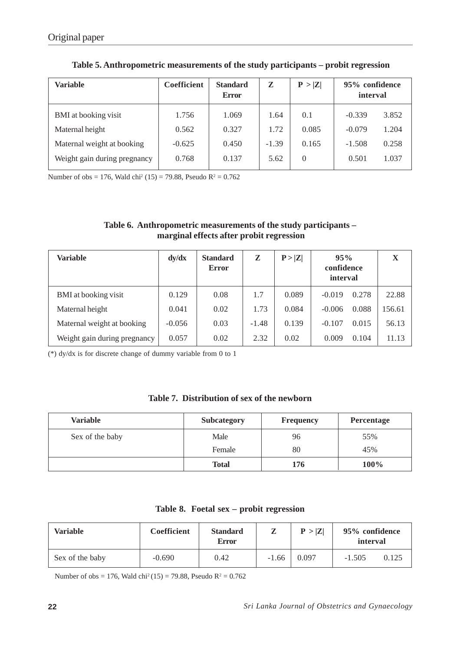| Variable                     | <b>Coefficient</b> | <b>Standard</b><br><b>Error</b> | Z       | P >  Z | 95% confidence<br>interval |       |
|------------------------------|--------------------|---------------------------------|---------|--------|----------------------------|-------|
| BMI at booking visit         | 1.756              | 1.069                           | 1.64    | 0.1    | $-0.339$                   | 3.852 |
| Maternal height              | 0.562              | 0.327                           | 1.72    | 0.085  | $-0.079$                   | 1.204 |
| Maternal weight at booking   | $-0.625$           | 0.450                           | $-1.39$ | 0.165  | $-1.508$                   | 0.258 |
| Weight gain during pregnancy | 0.768              | 0.137                           | 5.62    | 0      | 0.501                      | 1.037 |

**Table 5. Anthropometric measurements of the study participants – probit regression**

Number of obs = 176, Wald chi<sup>2</sup> (15) = 79.88, Pseudo  $R^2 = 0.762$ 

| Table 6. Anthropometric measurements of the study participants – |
|------------------------------------------------------------------|
| marginal effects after probit regression                         |

| Variable                     | dy/dx    | <b>Standard</b><br><b>Error</b> | Z       | P >  Z | 95%<br>confidence<br>interval | X      |
|------------------------------|----------|---------------------------------|---------|--------|-------------------------------|--------|
| BMI at booking visit         | 0.129    | 0.08                            | 1.7     | 0.089  | $-0.019$<br>0.278             | 22.88  |
| Maternal height              | 0.041    | 0.02                            | 1.73    | 0.084  | 0.088<br>$-0.006$             | 156.61 |
| Maternal weight at booking   | $-0.056$ | 0.03                            | $-1.48$ | 0.139  | 0.015<br>$-0.107$             | 56.13  |
| Weight gain during pregnancy | 0.057    | 0.02                            | 2.32    | 0.02   | 0.009<br>0.104                | 11.13  |

(\*) dy/dx is for discrete change of dummy variable from 0 to 1

### **Table 7. Distribution of sex of the newborn**

| <b>Variable</b> | <b>Subcategory</b> | <b>Frequency</b> | Percentage |
|-----------------|--------------------|------------------|------------|
| Sex of the baby | Male               | 96               | 55%        |
|                 | Female             | 80               | 45%        |
|                 | <b>Total</b>       | 176              | 100%       |

|  |  |  |  | Table 8. Foetal sex – probit regression |
|--|--|--|--|-----------------------------------------|
|--|--|--|--|-----------------------------------------|

| Variable        | Coefficient | <b>Standard</b><br><b>Error</b> |         | P >  Z | 95% confidence<br>interval |       |
|-----------------|-------------|---------------------------------|---------|--------|----------------------------|-------|
| Sex of the baby | $-0.690$    | 0.42                            | $-1.66$ | 0.097  | $-1.505$                   | 0.125 |

Number of obs = 176, Wald chi<sup>2</sup> (15) = 79.88, Pseudo  $R^2 = 0.762$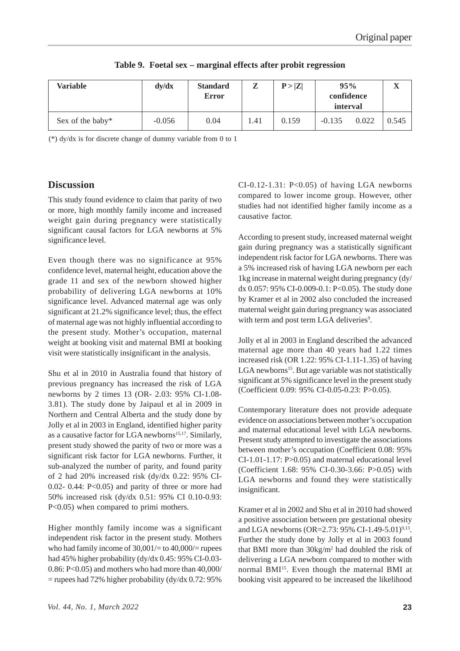| Variable         | dy/dx    | <b>Standard</b><br><b>Error</b> | Z    | P >  Z | 95%<br>confidence<br>interval |       | $\overline{\mathbf{v}}$<br>л |
|------------------|----------|---------------------------------|------|--------|-------------------------------|-------|------------------------------|
| Sex of the baby* | $-0.056$ | 0.04                            | 1.41 | 0.159  | $-0.135$                      | 0.022 | 0.545                        |

**Table 9. Foetal sex – marginal effects after probit regression**

(\*) dy/dx is for discrete change of dummy variable from 0 to 1

## **Discussion**

This study found evidence to claim that parity of two or more, high monthly family income and increased weight gain during pregnancy were statistically significant causal factors for LGA newborns at 5% significance level.

Even though there was no significance at 95% confidence level, maternal height, education above the grade 11 and sex of the newborn showed higher probability of delivering LGA newborns at 10% significance level. Advanced maternal age was only significant at 21.2% significance level; thus, the effect of maternal age was not highly influential according to the present study. Mother's occupation, maternal weight at booking visit and maternal BMI at booking visit were statistically insignificant in the analysis.

Shu et al in 2010 in Australia found that history of previous pregnancy has increased the risk of LGA newborns by 2 times 13 (OR- 2.03: 95% CI-1.08- 3.81). The study done by Jaipaul et al in 2009 in Northern and Central Alberta and the study done by Jolly et al in 2003 in England, identified higher parity as a causative factor for LGA newborns<sup>15,17</sup>. Similarly, present study showed the parity of two or more was a significant risk factor for LGA newborns. Further, it sub-analyzed the number of parity, and found parity of 2 had 20% increased risk (dy/dx 0.22: 95% CI-0.02- 0.44:  $P<0.05$ ) and parity of three or more had 50% increased risk (dy/dx 0.51: 95% CI 0.10-0.93: P<0.05) when compared to primi mothers.

Higher monthly family income was a significant independent risk factor in the present study. Mothers who had family income of  $30,001/$ = to  $40,000/$ = rupees had 45% higher probability (dy/dx 0.45: 95% CI-0.03- 0.86: P<0.05) and mothers who had more than 40,000/  $=$  rupees had 72% higher probability (dy/dx 0.72: 95%)

 $CI-0.12-1.31$ :  $P<0.05$ ) of having LGA newborns compared to lower income group. However, other studies had not identified higher family income as a causative factor.

According to present study, increased maternal weight gain during pregnancy was a statistically significant independent risk factor for LGA newborns. There was a 5% increased risk of having LGA newborn per each 1kg increase in maternal weight during pregnancy (dy/ dx 0.057: 95% CI-0.009-0.1: P<0.05). The study done by Kramer et al in 2002 also concluded the increased maternal weight gain during pregnancy was associated with term and post term LGA deliveries<sup>9</sup>.

Jolly et al in 2003 in England described the advanced maternal age more than 40 years had 1.22 times increased risk (OR 1.22: 95% CI-1.11-1.35) of having LGA newborns<sup>15</sup>. But age variable was not statistically significant at 5% significance level in the present study (Coefficient 0.09: 95% CI-0.05-0.23: P>0.05).

Contemporary literature does not provide adequate evidence on associations between mother's occupation and maternal educational level with LGA newborns. Present study attempted to investigate the associations between mother's occupation (Coefficient 0.08: 95% CI-1.01-1.17: P>0.05) and maternal educational level (Coefficient 1.68: 95% CI-0.30-3.66: P>0.05) with LGA newborns and found they were statistically insignificant.

Kramer et al in 2002 and Shu et al in 2010 had showed a positive association between pre gestational obesity and LGA newborns (OR=2.73: 95% CI-1.49-5.01)<sup>9,13</sup>. Further the study done by Jolly et al in 2003 found that BMI more than 30kg/m2 had doubled the risk of delivering a LGA newborn compared to mother with normal BMI<sup>15</sup>. Even though the maternal BMI at booking visit appeared to be increased the likelihood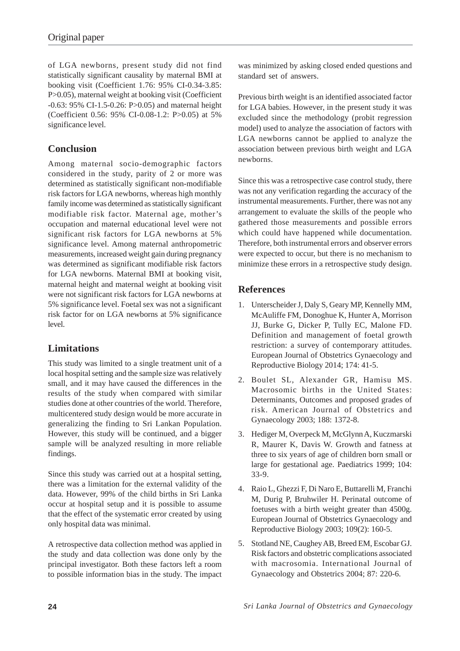of LGA newborns, present study did not find statistically significant causality by maternal BMI at booking visit (Coefficient 1.76: 95% CI-0.34-3.85: P>0.05), maternal weight at booking visit (Coefficient -0.63: 95% CI-1.5-0.26: P>0.05) and maternal height (Coefficient 0.56: 95% CI-0.08-1.2: P>0.05) at 5% significance level.

## **Conclusion**

Among maternal socio-demographic factors considered in the study, parity of 2 or more was determined as statistically significant non-modifiable risk factors for LGA newborns, whereas high monthly family income was determined as statistically significant modifiable risk factor. Maternal age, mother's occupation and maternal educational level were not significant risk factors for LGA newborns at 5% significance level. Among maternal anthropometric measurements, increased weight gain during pregnancy was determined as significant modifiable risk factors for LGA newborns. Maternal BMI at booking visit, maternal height and maternal weight at booking visit were not significant risk factors for LGA newborns at 5% significance level. Foetal sex was not a significant risk factor for on LGA newborns at 5% significance level.

## **Limitations**

This study was limited to a single treatment unit of a local hospital setting and the sample size was relatively small, and it may have caused the differences in the results of the study when compared with similar studies done at other countries of the world. Therefore, multicentered study design would be more accurate in generalizing the finding to Sri Lankan Population. However, this study will be continued, and a bigger sample will be analyzed resulting in more reliable findings.

Since this study was carried out at a hospital setting, there was a limitation for the external validity of the data. However, 99% of the child births in Sri Lanka occur at hospital setup and it is possible to assume that the effect of the systematic error created by using only hospital data was minimal.

A retrospective data collection method was applied in the study and data collection was done only by the principal investigator. Both these factors left a room to possible information bias in the study. The impact was minimized by asking closed ended questions and standard set of answers.

Previous birth weight is an identified associated factor for LGA babies. However, in the present study it was excluded since the methodology (probit regression model) used to analyze the association of factors with LGA newborns cannot be applied to analyze the association between previous birth weight and LGA newborns.

Since this was a retrospective case control study, there was not any verification regarding the accuracy of the instrumental measurements. Further, there was not any arrangement to evaluate the skills of the people who gathered those measurements and possible errors which could have happened while documentation. Therefore, both instrumental errors and observer errors were expected to occur, but there is no mechanism to minimize these errors in a retrospective study design.

## **References**

- 1. Unterscheider J, Daly S, Geary MP, Kennelly MM, McAuliffe FM, Donoghue K, Hunter A, Morrison JJ, Burke G, Dicker P, Tully EC, Malone FD. Definition and management of foetal growth restriction: a survey of contemporary attitudes. European Journal of Obstetrics Gynaecology and Reproductive Biology 2014; 174: 41-5.
- 2. Boulet SL, Alexander GR, Hamisu MS. Macrosomic births in the United States: Determinants, Outcomes and proposed grades of risk. American Journal of Obstetrics and Gynaecology 2003; 188: 1372-8.
- 3. Hediger M, Overpeck M, McGlynn A, Kuczmarski R, Maurer K, Davis W. Growth and fatness at three to six years of age of children born small or large for gestational age. Paediatrics 1999; 104: 33-9.
- 4. Raio L, Ghezzi F, Di Naro E, Buttarelli M, Franchi M, Durig P, Bruhwiler H. Perinatal outcome of foetuses with a birth weight greater than 4500g. European Journal of Obstetrics Gynaecology and Reproductive Biology 2003; 109(2): 160-5.
- 5. Stotland NE, Caughey AB, Breed EM, Escobar GJ. Risk factors and obstetric complications associated with macrosomia. International Journal of Gynaecology and Obstetrics 2004; 87: 220-6.